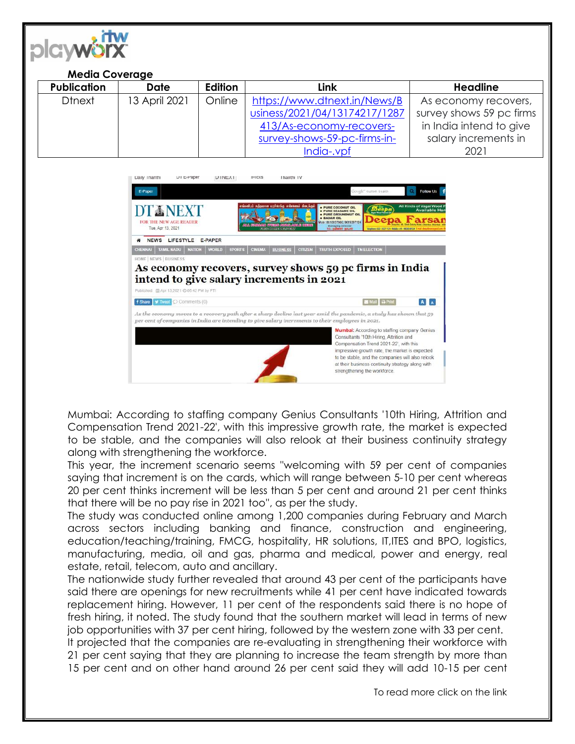

## **Media Coverage**

| <b>Publication</b> | <b>Date</b>   | Edition | Link                          | <b>Headline</b>          |
|--------------------|---------------|---------|-------------------------------|--------------------------|
| <b>D</b> tnext     | 13 April 2021 | Online  | https://www.dtnext.in/News/B  | As economy recovers,     |
|                    |               |         | usiness/2021/04/13174217/1287 | survey shows 59 pc firms |
|                    |               |         | 413/As-economy-recovers-      | in India intend to give  |
|                    |               |         | survey-shows-59-pc-firms-in-  | salary increments in     |
|                    |               |         | India-.vpf                    | 2021                     |



Mumbai: According to staffing company Genius Consultants '10th Hiring, Attrition and Compensation Trend 2021-22', with this impressive growth rate, the market is expected to be stable, and the companies will also relook at their business continuity strategy along with strengthening the workforce.

This year, the increment scenario seems ''welcoming with 59 per cent of companies saying that increment is on the cards, which will range between 5-10 per cent whereas 20 per cent thinks increment will be less than 5 per cent and around 21 per cent thinks that there will be no pay rise in 2021 too'', as per the study.

The study was conducted online among 1,200 companies during February and March across sectors including banking and finance, construction and engineering, education/teaching/training, FMCG, hospitality, HR solutions, IT,ITES and BPO, logistics, manufacturing, media, oil and gas, pharma and medical, power and energy, real estate, retail, telecom, auto and ancillary.

The nationwide study further revealed that around 43 per cent of the participants have said there are openings for new recruitments while 41 per cent have indicated towards replacement hiring. However, 11 per cent of the respondents said there is no hope of fresh hiring, it noted. The study found that the southern market will lead in terms of new job opportunities with 37 per cent hiring, followed by the western zone with 33 per cent.

It projected that the companies are re-evaluating in strengthening their workforce with 21 per cent saying that they are planning to increase the team strength by more than 15 per cent and on other hand around 26 per cent said they will add 10-15 per cent

To read more click on the link